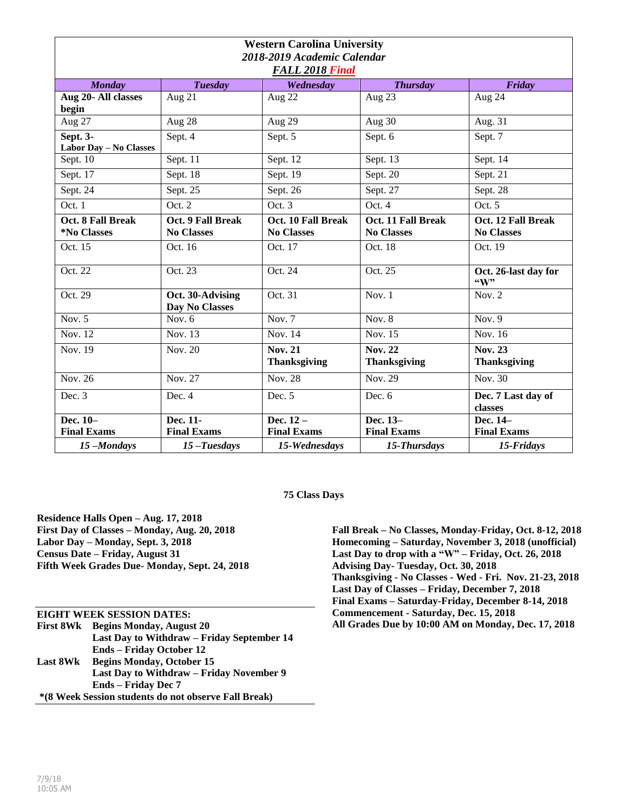| <b>Western Carolina University</b> |                                        |                                         |                                         |                                         |  |
|------------------------------------|----------------------------------------|-----------------------------------------|-----------------------------------------|-----------------------------------------|--|
| 2018-2019 Academic Calendar        |                                        |                                         |                                         |                                         |  |
| <b>FALL 2018 Final</b>             |                                        |                                         |                                         |                                         |  |
| <b>Monday</b>                      | <b>Tuesday</b>                         | Wednesday                               | <b>Thursday</b>                         | Friday                                  |  |
| Aug 20- All classes<br>begin       | Aug $2\overline{1}$                    | Aug 22                                  | Aug 23                                  | Aug 24                                  |  |
| Aug 27                             | Aug 28                                 | Aug 29                                  | Aug 30                                  | Aug. 31                                 |  |
| Sept. 3-<br>Labor Day - No Classes | Sept. 4                                | Sept. 5                                 | Sept. 6                                 | Sept. 7                                 |  |
| Sept. 10                           | Sept. 11                               | Sept. 12                                | Sept. 13                                | Sept. 14                                |  |
| Sept. 17                           | Sept. 18                               | Sept. 19                                | Sept. 20                                | Sept. 21                                |  |
| Sept. 24                           | Sept. 25                               | Sept. 26                                | Sept. 27                                | Sept. 28                                |  |
| Oct.1                              | Oct. 2                                 | Oct. 3                                  | Oct.4                                   | Oct. 5                                  |  |
| Oct. 8 Fall Break<br>*No Classes   | Oct. 9 Fall Break<br><b>No Classes</b> | Oct. 10 Fall Break<br><b>No Classes</b> | Oct. 11 Fall Break<br><b>No Classes</b> | Oct. 12 Fall Break<br><b>No Classes</b> |  |
| Oct. 15                            | Oct. 16                                | Oct. 17                                 | Oct. 18                                 | Oct. 19                                 |  |
| Oct. 22                            | Oct. 23                                | Oct. 24                                 | Oct. 25                                 | Oct. 26-last day for<br>$\mathbf{``W"}$ |  |
| Oct. 29                            | Oct. 30-Advising<br>Day No Classes     | Oct. 31                                 | Nov. $1$                                | Nov. $2$                                |  |
| Nov. $5$                           | Nov. $6$                               | Nov. $7$                                | Nov. $8$                                | Nov. $9$                                |  |
| <b>Nov. 12</b>                     | Nov. 13                                | Nov. 14                                 | <b>Nov. 15</b>                          | Nov. 16                                 |  |
| Nov. 19                            | Nov. 20                                | <b>Nov. 21</b><br><b>Thanksgiving</b>   | <b>Nov. 22</b><br><b>Thanksgiving</b>   | <b>Nov. 23</b><br><b>Thanksgiving</b>   |  |
| Nov. 26                            | Nov. 27                                | <b>Nov. 28</b>                          | Nov. 29                                 | Nov. 30                                 |  |
| Dec. 3                             | Dec. 4                                 | Dec. 5                                  | Dec. 6                                  | Dec. 7 Last day of<br>classes           |  |
| Dec. 10-                           | Dec. 11-                               | Dec. $12-$                              | Dec. 13-                                | Dec. 14-                                |  |
| <b>Final Exams</b>                 | <b>Final Exams</b>                     | <b>Final Exams</b>                      | <b>Final Exams</b>                      | <b>Final Exams</b>                      |  |
| 15-Mondays                         | 15-Tuesdays                            | 15-Wednesdays                           | 15-Thursdays                            | 15-Fridays                              |  |

## **75 Class Days**

**Residence Halls Open – Aug. 17, 2018 First Day of Classes – Monday, Aug. 20, 2018 Labor Day – Monday, Sept. 3, 2018 Census Date – Friday, August 31 Fifth Week Grades Due- Monday, Sept. 24, 2018**

**EIGHT WEEK SESSION DATES: First 8Wk Begins Monday, August 20 Last Day to Withdraw – Friday September 14 Ends – Friday October 12 Last 8Wk Begins Monday, October 15 Last Day to Withdraw – Friday November 9 Ends – Friday Dec 7 \*(8 Week Session students do not observe Fall Break)**

**Fall Break – No Classes, Monday-Friday, Oct. 8-12, 2018 Homecoming – Saturday, November 3, 2018 (unofficial) Last Day to drop with a "W" – Friday, Oct. 26, 2018 Advising Day- Tuesday, Oct. 30, 2018 Thanksgiving - No Classes - Wed - Fri. Nov. 21-23, 2018 Last Day of Classes – Friday, December 7, 2018 Final Exams – Saturday-Friday, December 8-14, 2018 Commencement - Saturday, Dec. 15, 2018 All Grades Due by 10:00 AM on Monday, Dec. 17, 2018**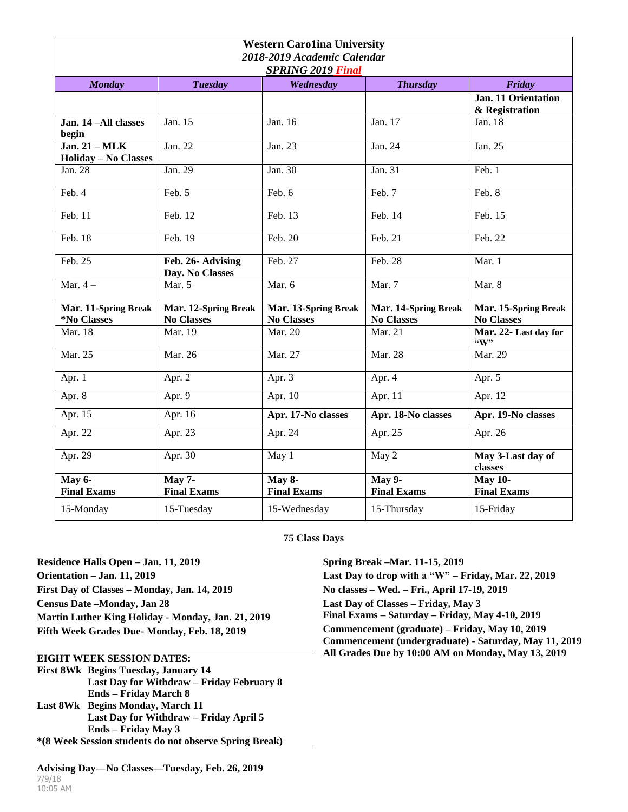| <b>Western Carolina University</b>                                                                    |                                           |                                           |                                           |                                           |  |  |
|-------------------------------------------------------------------------------------------------------|-------------------------------------------|-------------------------------------------|-------------------------------------------|-------------------------------------------|--|--|
| 2018-2019 Academic Calendar                                                                           |                                           |                                           |                                           |                                           |  |  |
| <b>SPRING 2019 Final</b><br><b>Tuesday</b><br>Wednesday<br><b>Thursday</b><br><b>Monday</b><br>Friday |                                           |                                           |                                           |                                           |  |  |
|                                                                                                       |                                           |                                           |                                           | Jan. 11 Orientation<br>& Registration     |  |  |
| Jan. 14-All classes<br>begin                                                                          | Jan. 15                                   | Jan. 16                                   | Jan. 17                                   | Jan. 18                                   |  |  |
| Jan. $21 - \text{MLK}$<br><b>Holiday - No Classes</b>                                                 | Jan. 22                                   | Jan. 23                                   | Jan. 24                                   | Jan. 25                                   |  |  |
| Jan. 28                                                                                               | Jan. 29                                   | Jan. 30                                   | Jan. 31                                   | Feb. 1                                    |  |  |
| Feb. 4                                                                                                | Feb. 5                                    | Feb. 6                                    | Feb. 7                                    | Feb. 8                                    |  |  |
| Feb. 11                                                                                               | Feb. 12                                   | Feb. 13                                   | Feb. 14                                   | Feb. 15                                   |  |  |
| Feb. 18                                                                                               | Feb. 19                                   | Feb. 20                                   | Feb. 21                                   | Feb. 22                                   |  |  |
| Feb. 25                                                                                               | Feb. 26- Advising<br>Day. No Classes      | Feb. 27                                   | Feb. 28                                   | Mar. 1                                    |  |  |
| Mar. $4-$                                                                                             | Mar. 5                                    | Mar. 6                                    | Mar. 7                                    | Mar. 8                                    |  |  |
| Mar. 11-Spring Break<br>*No Classes                                                                   | Mar. 12-Spring Break<br><b>No Classes</b> | Mar. 13-Spring Break<br><b>No Classes</b> | Mar. 14-Spring Break<br><b>No Classes</b> | Mar. 15-Spring Break<br><b>No Classes</b> |  |  |
| Mar. 18                                                                                               | Mar. 19                                   | Mar. 20                                   | Mar. 21                                   | Mar. 22- Last day for<br>$\mathbf{W}$     |  |  |
| Mar. 25                                                                                               | Mar. 26                                   | Mar. 27                                   | Mar. 28                                   | Mar. 29                                   |  |  |
| Apr. 1                                                                                                | Apr. 2                                    | Apr. 3                                    | Apr. 4                                    | Apr. 5                                    |  |  |
| Apr. 8                                                                                                | Apr. $9$                                  | Apr. 10                                   | Apr. 11                                   | Apr. 12                                   |  |  |
| Apr. 15                                                                                               | Apr. 16                                   | Apr. 17-No classes                        | Apr. 18-No classes                        | Apr. 19-No classes                        |  |  |
| Apr. 22                                                                                               | Apr. 23                                   | Apr. 24                                   | Apr. 25                                   | Apr. 26                                   |  |  |
| Apr. 29                                                                                               | Apr. 30                                   | May 1                                     | May 2                                     | May 3-Last day of<br>classes              |  |  |
| <b>May 6-</b><br><b>Final Exams</b>                                                                   | $May 7-$<br><b>Final Exams</b>            | May 8-<br><b>Final Exams</b>              | <b>May 9-</b><br><b>Final Exams</b>       | <b>May 10-</b><br><b>Final Exams</b>      |  |  |
| 15-Monday                                                                                             | 15-Tuesday                                | 15-Wednesday                              | 15-Thursday                               | 15-Friday                                 |  |  |

## **75 Class Days**

**Residence Halls Open – Jan. 11, 2019 Orientation – Jan. 11, 2019 First Day of Classes – Monday, Jan. 14, 2019 Census Date –Monday, Jan 28 Martin Luther King Holiday - Monday, Jan. 21, 2019 Fifth Week Grades Due- Monday, Feb. 18, 2019**

## **EIGHT WEEK SESSION DATES:**

**First 8Wk Begins Tuesday, January 14 Last Day for Withdraw – Friday February 8 Ends – Friday March 8 Last 8Wk Begins Monday, March 11 Last Day for Withdraw – Friday April 5 Ends – Friday May 3 \*(8 Week Session students do not observe Spring Break)**

7/9/18 10:05 AM **Advising Day—No Classes—Tuesday, Feb. 26, 2019** **Spring Break –Mar. 11-15, 2019 Last Day to drop with a "W" – Friday, Mar. 22, 2019 No classes – Wed. – Fri., April 17-19, 2019 Last Day of Classes – Friday, May 3 Final Exams – Saturday – Friday, May 4-10, 2019 Commencement (graduate) – Friday, May 10, 2019 Commencement (undergraduate) - Saturday, May 11, 2019 All Grades Due by 10:00 AM on Monday, May 13, 2019**